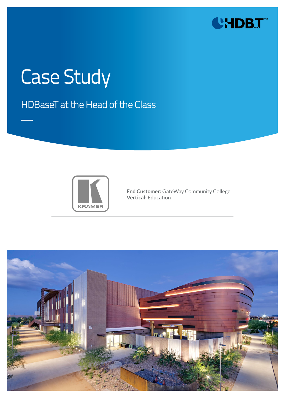

# Case Study

### HDBaseT at the Head of the Class



**End Customer:** GateWay Community College **Vertical:** Education